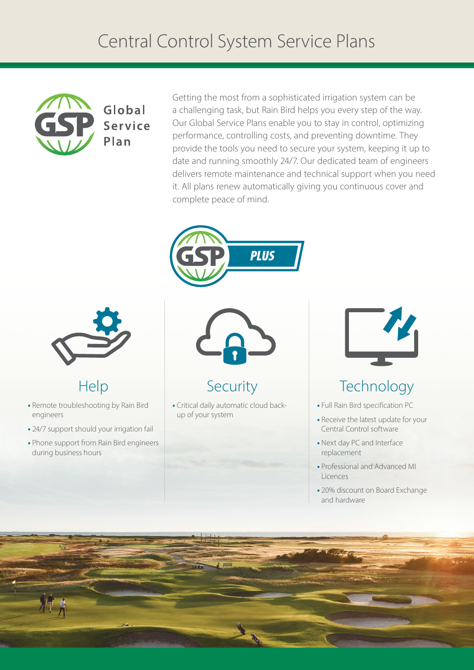# Central Control System Service Plans



#### Global Service Plan

Getting the most from a sophisticated irrigation system can be a challenging task, but Rain Bird helps you every step of the way. Our Global Service Plans enable you to stay in control, optimizing performance, controlling costs, and preventing downtime. They provide the tools you need to secure your system, keeping it up to date and running smoothly 24/7. Our dedicated team of engineers delivers remote maintenance and technical support when you need it. All plans renew automatically giving you continuous cover and complete peace of mind.





### Help

- **•** Remote troubleshooting by Rain Bird engineers
- **•** 24/7 support should your irrigation fail
- **•** Phone support from Rain Bird engineers during business hours



#### Security

**•** Critical daily automatic cloud backup of your system



## **Technology**

- **•** Full Rain Bird specification PC
- **•** Receive the latest update for your Central Control software
- **•** Next day PC and Interface replacement
- **•** Professional and Advanced MI Licences
- **•** 20% discount on Board Exchange and hardware